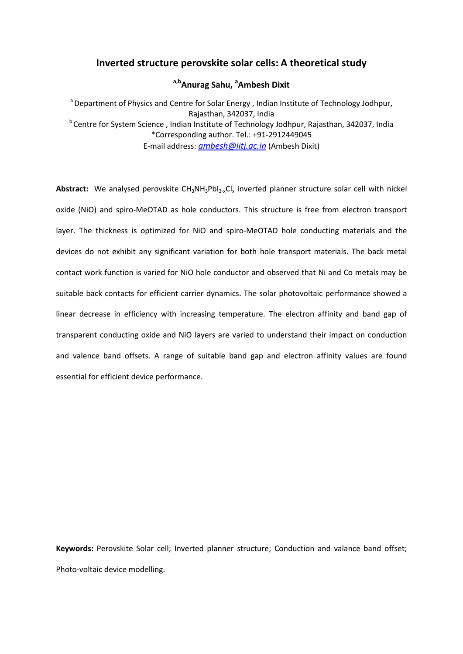# **Inverted structure perovskite solar cells: A theoretical study**

# **a,bAnurag Sahu, <sup>a</sup> Ambesh Dixit**

<sup>a</sup> Department of Physics and Centre for Solar Energy, Indian Institute of Technology Jodhpur, Rajasthan, 342037, India <sup>b</sup> Centre for System Science, Indian Institute of Technology Jodhpur, Rajasthan, 342037, India \*Corresponding author. Tel.: +91-2912449045 E-mail address: *[ambesh@iitj.ac.in](mailto:ambesh@iitj.ac.in)* (Ambesh Dixit)

Abstract: We analysed perovskite CH<sub>3</sub>NH<sub>3</sub>PbI<sub>3-x</sub>Cl<sub>x</sub> inverted planner structure solar cell with nickel oxide (NiO) and spiro-MeOTAD as hole conductors. This structure is free from electron transport layer. The thickness is optimized for NiO and spiro-MeOTAD hole conducting materials and the devices do not exhibit any significant variation for both hole transport materials. The back metal contact work function is varied for NiO hole conductor and observed that Ni and Co metals may be suitable back contacts for efficient carrier dynamics. The solar photovoltaic performance showed a linear decrease in efficiency with increasing temperature. The electron affinity and band gap of transparent conducting oxide and NiO layers are varied to understand their impact on conduction and valence band offsets. A range of suitable band gap and electron affinity values are found essential for efficient device performance.

**Keywords:** Perovskite Solar cell; Inverted planner structure; Conduction and valance band offset; Photo-voltaic device modelling.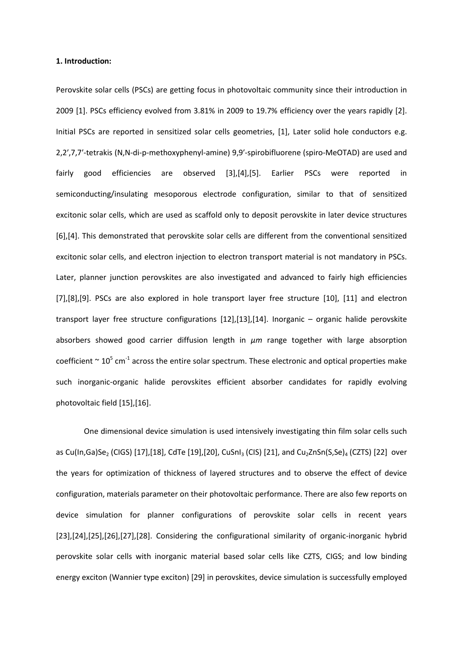### **1. Introduction:**

Perovskite solar cells (PSCs) are getting focus in photovoltaic community since their introduction in 2009 [1]. PSCs efficiency evolved from 3.81% in 2009 to 19.7% efficiency over the years rapidly [2]. Initial PSCs are reported in sensitized solar cells geometries, [1], Later solid hole conductors e.g. 2,2′,7,7′-tetrakis (N,N-di-p-methoxyphenyl-amine) 9,9′-spirobifluorene (spiro-MeOTAD) are used and fairly good efficiencies are observed [3],[4],[5]. Earlier PSCs were reported in semiconducting/insulating mesoporous electrode configuration, similar to that of sensitized excitonic solar cells, which are used as scaffold only to deposit perovskite in later device structures [6],[4]. This demonstrated that perovskite solar cells are different from the conventional sensitized excitonic solar cells, and electron injection to electron transport material is not mandatory in PSCs. Later, planner junction perovskites are also investigated and advanced to fairly high efficiencies [7],[8],[9]. PSCs are also explored in hole transport layer free structure [10], [11] and electron transport layer free structure configurations [12],[13],[14]. Inorganic – organic halide perovskite absorbers showed good carrier diffusion length in *μm* range together with large absorption coefficient  $\sim 10^5$  cm<sup>-1</sup> across the entire solar spectrum. These electronic and optical properties make such inorganic-organic halide perovskites efficient absorber candidates for rapidly evolving photovoltaic field [15],[16].

One dimensional device simulation is used intensively investigating thin film solar cells such as Cu(In,Ga)Se<sub>2</sub> (CIGS) [17],[18], CdTe [19],[20], CuSnI<sub>3</sub> (CIS) [21], and Cu<sub>2</sub>ZnSn(S,Se)<sub>4</sub> (CZTS) [22] over the years for optimization of thickness of layered structures and to observe the effect of device configuration, materials parameter on their photovoltaic performance. There are also few reports on device simulation for planner configurations of perovskite solar cells in recent years [23],[24],[25],[26],[27],[28]. Considering the configurational similarity of organic-inorganic hybrid perovskite solar cells with inorganic material based solar cells like CZTS, CIGS; and low binding energy exciton (Wannier type exciton) [29] in perovskites, device simulation is successfully employed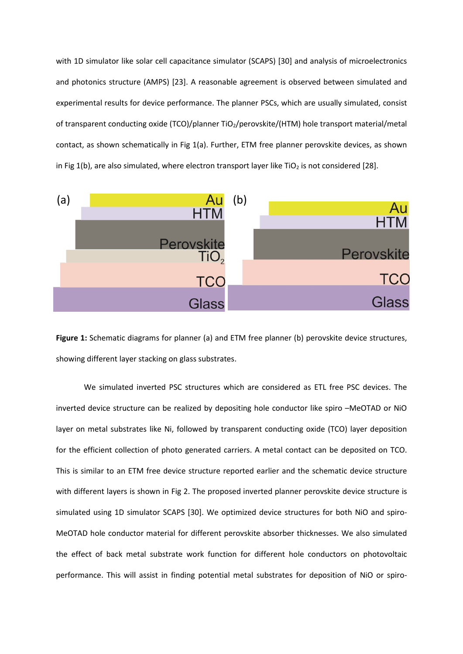with 1D simulator like solar cell capacitance simulator (SCAPS) [30] and analysis of microelectronics and photonics structure (AMPS) [23]. A reasonable agreement is observed between simulated and experimental results for device performance. The planner PSCs, which are usually simulated, consist of transparent conducting oxide (TCO)/planner TiO<sub>2</sub>/perovskite/(HTM) hole transport material/metal contact, as shown schematically in Fig 1(a). Further, ETM free planner perovskite devices, as shown in Fig 1(b), are also simulated, where electron transport layer like TiO<sub>2</sub> is not considered [28].





We simulated inverted PSC structures which are considered as ETL free PSC devices. The inverted device structure can be realized by depositing hole conductor like spiro –MeOTAD or NiO layer on metal substrates like Ni, followed by transparent conducting oxide (TCO) layer deposition for the efficient collection of photo generated carriers. A metal contact can be deposited on TCO. This is similar to an ETM free device structure reported earlier and the schematic device structure with different layers is shown in Fig 2. The proposed inverted planner perovskite device structure is simulated using 1D simulator SCAPS [30]. We optimized device structures for both NiO and spiro-MeOTAD hole conductor material for different perovskite absorber thicknesses. We also simulated the effect of back metal substrate work function for different hole conductors on photovoltaic performance. This will assist in finding potential metal substrates for deposition of NiO or spiro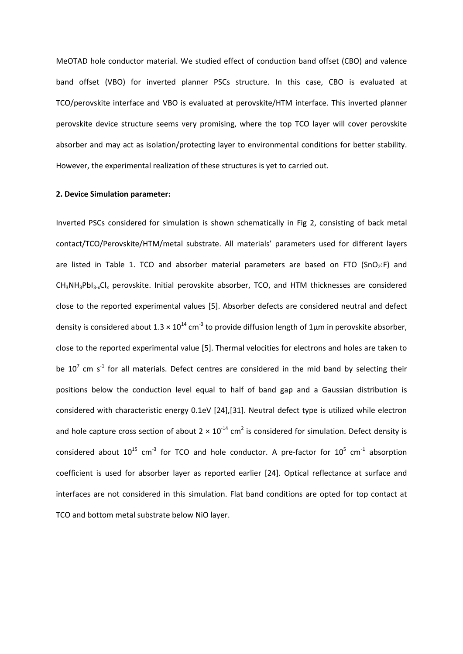MeOTAD hole conductor material. We studied effect of conduction band offset (CBO) and valence band offset (VBO) for inverted planner PSCs structure. In this case, CBO is evaluated at TCO/perovskite interface and VBO is evaluated at perovskite/HTM interface. This inverted planner perovskite device structure seems very promising, where the top TCO layer will cover perovskite absorber and may act as isolation/protecting layer to environmental conditions for better stability. However, the experimental realization of these structures is yet to carried out.

#### **2. Device Simulation parameter:**

Inverted PSCs considered for simulation is shown schematically in Fig 2, consisting of back metal contact/TCO/Perovskite/HTM/metal substrate. All materials' parameters used for different layers are listed in Table 1. TCO and absorber material parameters are based on FTO (SnO<sub>2</sub>:F) and CH<sub>3</sub>NH<sub>3</sub>PbI<sub>3-x</sub>Cl<sub>x</sub> perovskite. Initial perovskite absorber, TCO, and HTM thicknesses are considered close to the reported experimental values [5]. Absorber defects are considered neutral and defect density is considered about  $1.3 \times 10^{14}$  cm<sup>-3</sup> to provide diffusion length of 1<sub>µ</sub>m in perovskite absorber, close to the reported experimental value [5]. Thermal velocities for electrons and holes are taken to be  $10^7$  cm s<sup>-1</sup> for all materials. Defect centres are considered in the mid band by selecting their positions below the conduction level equal to half of band gap and a Gaussian distribution is considered with characteristic energy 0.1eV [24],[31]. Neutral defect type is utilized while electron and hole capture cross section of about  $2 \times 10^{-14}$  cm<sup>2</sup> is considered for simulation. Defect density is considered about  $10^{15}$  cm<sup>-3</sup> for TCO and hole conductor. A pre-factor for  $10^5$  cm<sup>-1</sup> absorption coefficient is used for absorber layer as reported earlier [24]. Optical reflectance at surface and interfaces are not considered in this simulation. Flat band conditions are opted for top contact at TCO and bottom metal substrate below NiO layer.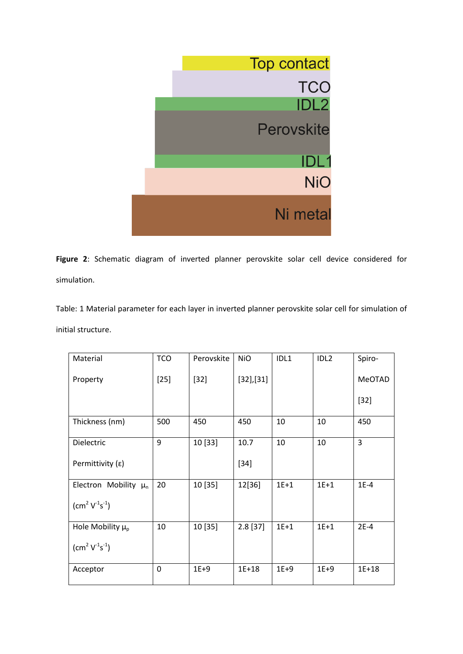

**Figure 2**: Schematic diagram of inverted planner perovskite solar cell device considered for simulation.

Table: 1 Material parameter for each layer in inverted planner perovskite solar cell for simulation of initial structure.

| Material                  | <b>TCO</b>  | Perovskite | <b>NiO</b> | IDL1   | IDL <sub>2</sub> | Spiro-    |
|---------------------------|-------------|------------|------------|--------|------------------|-----------|
| Property                  | $[25]$      | $[32]$     | [32],[31]  |        |                  | MeOTAD    |
|                           |             |            |            |        |                  | $[32]$    |
| Thickness (nm)            | 500         | 450        | 450        | 10     | 10               | 450       |
| Dielectric                | 9           | 10 [33]    | 10.7       | 10     | 10               | 3         |
| Permittivity $(\epsilon)$ |             |            | $[34]$     |        |                  |           |
| Electron Mobility $\mu_n$ | 20          | 10 [35]    | 12[36]     | $1E+1$ | $1E+1$           | $1E-4$    |
| $\rm (cm^2 V^{1} s^{-1})$ |             |            |            |        |                  |           |
| Hole Mobility $\mu_{p}$   | 10          | 10 [35]    | $2.8$ [37] | $1E+1$ | $1E+1$           | $2E-4$    |
| $\rm (cm^2 V^{1} s^{-1})$ |             |            |            |        |                  |           |
| Acceptor                  | $\mathbf 0$ | $1E+9$     | $1E + 18$  | $1E+9$ | $1E+9$           | $1E + 18$ |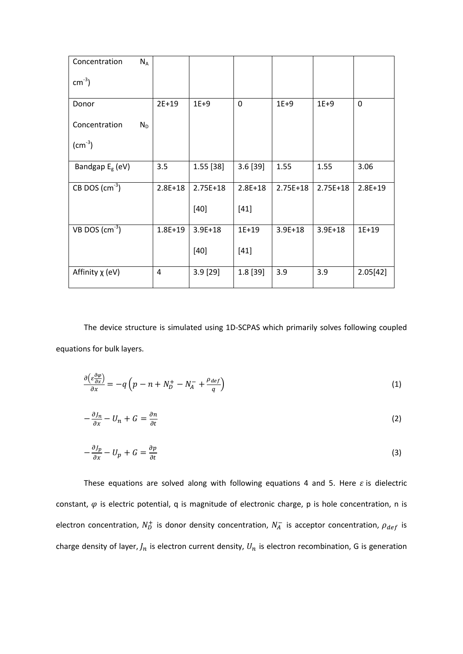| Concentration                    | $N_A$ |             |             |             |             |             |             |
|----------------------------------|-------|-------------|-------------|-------------|-------------|-------------|-------------|
| $\text{cm}^{-3}$ )               |       |             |             |             |             |             |             |
| Donor                            |       | $2E+19$     | $1E+9$      | 0           | $1E+9$      | $1E+9$      | $\mathbf 0$ |
| Concentration                    | $N_D$ |             |             |             |             |             |             |
| $\rm (cm^{-3})$                  |       |             |             |             |             |             |             |
| Bandgap $E_{g}$ (eV)             |       | 3.5         | $1.55$ [38] | 3.6[39]     | 1.55        | 1.55        | 3.06        |
| CB DOS $\text{(cm}^{-3}\text{)}$ |       | $2.8E + 18$ | $2.75E+18$  | $2.8E + 18$ | $2.75E+18$  | $2.75E+18$  | $2.8E+19$   |
|                                  |       |             | $[40]$      | $[41]$      |             |             |             |
| VB DOS $\text{(cm}^{-3}\text{)}$ |       | $1.8E + 19$ | $3.9E + 18$ | $1E+19$     | $3.9E + 18$ | $3.9E + 18$ | $1E+19$     |
|                                  |       |             | $[40]$      | $[41]$      |             |             |             |
| Affinity $\chi$ (eV)             |       | 4           | $3.9$ [29]  | 1.8 [39]    | 3.9         | 3.9         | 2.05[42]    |

The device structure is simulated using 1D-SCPAS which primarily solves following coupled equations for bulk layers.

$$
\frac{\partial \left(\varepsilon \frac{\partial \varphi}{\partial x}\right)}{\partial x} = -q\left(p - n + N_D^+ - N_A^- + \frac{\rho_{def}}{q}\right) \tag{1}
$$

$$
-\frac{\partial J_n}{\partial x} - U_n + G = \frac{\partial n}{\partial t} \tag{2}
$$

$$
-\frac{\partial J_p}{\partial x} - U_p + G = \frac{\partial p}{\partial t} \tag{3}
$$

These equations are solved along with following equations 4 and 5. Here  $\varepsilon$  is dielectric constant,  $\varphi$  is electric potential, q is magnitude of electronic charge, p is hole concentration, n is electron concentration,  $N_D^+$  is donor density concentration,  $N_A^-$  is acceptor concentration,  $\rho_{def}$  is charge density of layer,  $J_n$  is electron current density,  $U_n$  is electron recombination, G is generation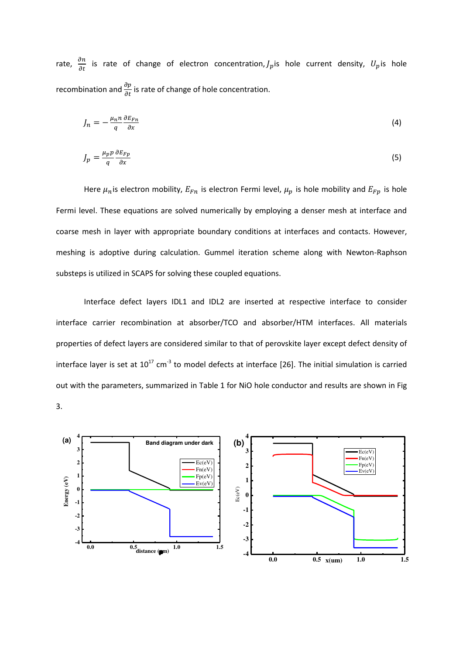rate,  $\frac{\partial n}{\partial t}$  is rate of change of electron concentration,  $J_p$  is hole current density,  $U_p$  is hole recombination and  $\frac{\partial p}{\partial t}$  is rate of change of hole concentration.

$$
J_n = -\frac{\mu_n n}{q} \frac{\partial E_{Fn}}{\partial x} \tag{4}
$$

$$
J_p = \frac{\mu_p p}{q} \frac{\partial E_{Fp}}{\partial x} \tag{5}
$$

Here  $\mu_n$  is electron mobility,  $E_{Fn}$  is electron Fermi level,  $\mu_p$  is hole mobility and  $E_{Fp}$  is hole Fermi level. These equations are solved numerically by employing a denser mesh at interface and coarse mesh in layer with appropriate boundary conditions at interfaces and contacts. However, meshing is adoptive during calculation. Gummel iteration scheme along with Newton-Raphson substeps is utilized in SCAPS for solving these coupled equations.

Interface defect layers IDL1 and IDL2 are inserted at respective interface to consider interface carrier recombination at absorber/TCO and absorber/HTM interfaces. All materials properties of defect layers are considered similar to that of perovskite layer except defect density of interface layer is set at  $10^{17}$  cm<sup>-3</sup> to model defects at interface [26]. The initial simulation is carried out with the parameters, summarized in Table 1 for NiO hole conductor and results are shown in Fig 3.

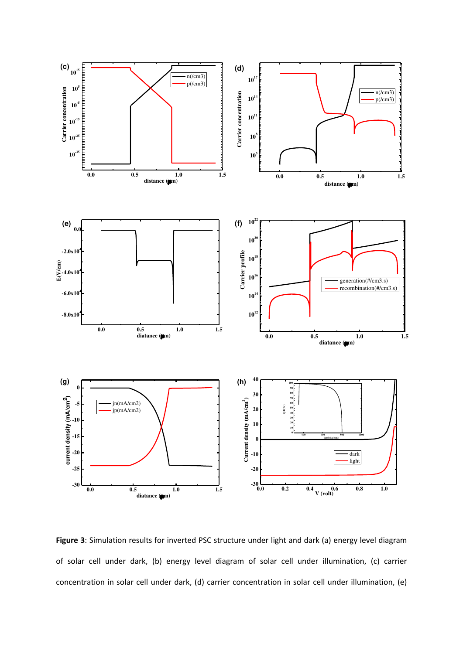

**Figure 3**: Simulation results for inverted PSC structure under light and dark (a) energy level diagram of solar cell under dark, (b) energy level diagram of solar cell under illumination, (c) carrier concentration in solar cell under dark, (d) carrier concentration in solar cell under illumination, (e)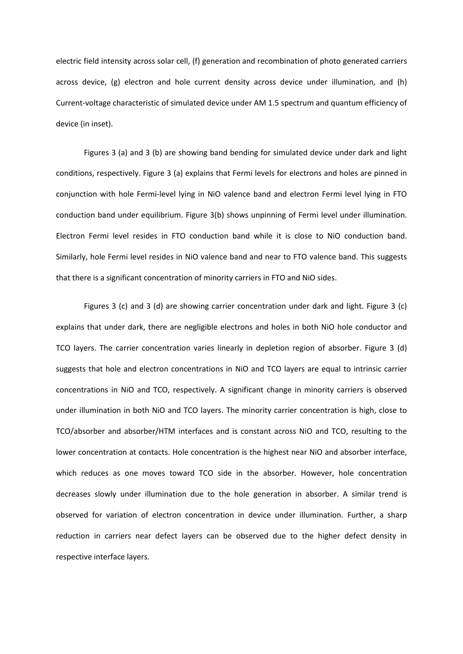electric field intensity across solar cell, (f) generation and recombination of photo generated carriers across device, (g) electron and hole current density across device under illumination, and (h) Current-voltage characteristic of simulated device under AM 1.5 spectrum and quantum efficiency of device (in inset).

Figures 3 (a) and 3 (b) are showing band bending for simulated device under dark and light conditions, respectively. Figure 3 (a) explains that Fermi levels for electrons and holes are pinned in conjunction with hole Fermi-level lying in NiO valence band and electron Fermi level lying in FTO conduction band under equilibrium. Figure 3(b) shows unpinning of Fermi level under illumination. Electron Fermi level resides in FTO conduction band while it is close to NiO conduction band. Similarly, hole Fermi level resides in NiO valence band and near to FTO valence band. This suggests that there is a significant concentration of minority carriers in FTO and NiO sides.

Figures 3 (c) and 3 (d) are showing carrier concentration under dark and light. Figure 3 (c) explains that under dark, there are negligible electrons and holes in both NiO hole conductor and TCO layers. The carrier concentration varies linearly in depletion region of absorber. Figure 3 (d) suggests that hole and electron concentrations in NiO and TCO layers are equal to intrinsic carrier concentrations in NiO and TCO, respectively. A significant change in minority carriers is observed under illumination in both NiO and TCO layers. The minority carrier concentration is high, close to TCO/absorber and absorber/HTM interfaces and is constant across NiO and TCO, resulting to the lower concentration at contacts. Hole concentration is the highest near NiO and absorber interface, which reduces as one moves toward TCO side in the absorber. However, hole concentration decreases slowly under illumination due to the hole generation in absorber. A similar trend is observed for variation of electron concentration in device under illumination. Further, a sharp reduction in carriers near defect layers can be observed due to the higher defect density in respective interface layers.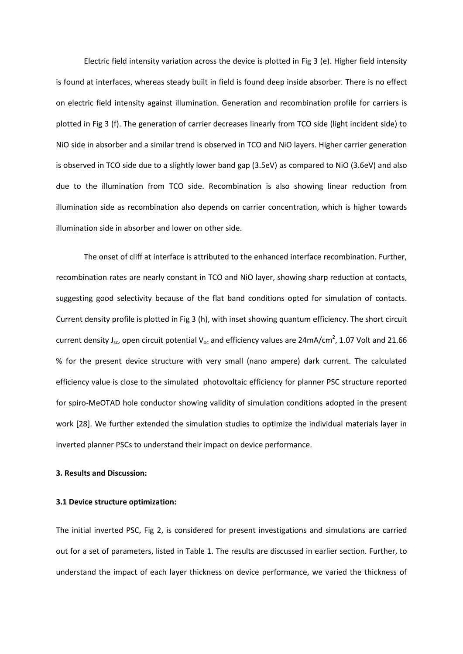Electric field intensity variation across the device is plotted in Fig 3 (e). Higher field intensity is found at interfaces, whereas steady built in field is found deep inside absorber. There is no effect on electric field intensity against illumination. Generation and recombination profile for carriers is plotted in Fig 3 (f). The generation of carrier decreases linearly from TCO side (light incident side) to NiO side in absorber and a similar trend is observed in TCO and NiO layers. Higher carrier generation is observed in TCO side due to a slightly lower band gap (3.5eV) as compared to NiO (3.6eV) and also due to the illumination from TCO side. Recombination is also showing linear reduction from illumination side as recombination also depends on carrier concentration, which is higher towards illumination side in absorber and lower on other side.

The onset of cliff at interface is attributed to the enhanced interface recombination. Further, recombination rates are nearly constant in TCO and NiO layer, showing sharp reduction at contacts, suggesting good selectivity because of the flat band conditions opted for simulation of contacts. Current density profile is plotted in Fig 3 (h), with inset showing quantum efficiency. The short circuit current density J<sub>sc</sub>, open circuit potential V<sub>oc</sub> and efficiency values are 24mA/cm<sup>2</sup>, 1.07 Volt and 21.66 % for the present device structure with very small (nano ampere) dark current. The calculated efficiency value is close to the simulated photovoltaic efficiency for planner PSC structure reported for spiro-MeOTAD hole conductor showing validity of simulation conditions adopted in the present work [28]. We further extended the simulation studies to optimize the individual materials layer in inverted planner PSCs to understand their impact on device performance.

## **3. Results and Discussion:**

## **3.1 Device structure optimization:**

The initial inverted PSC, Fig 2, is considered for present investigations and simulations are carried out for a set of parameters, listed in Table 1. The results are discussed in earlier section. Further, to understand the impact of each layer thickness on device performance, we varied the thickness of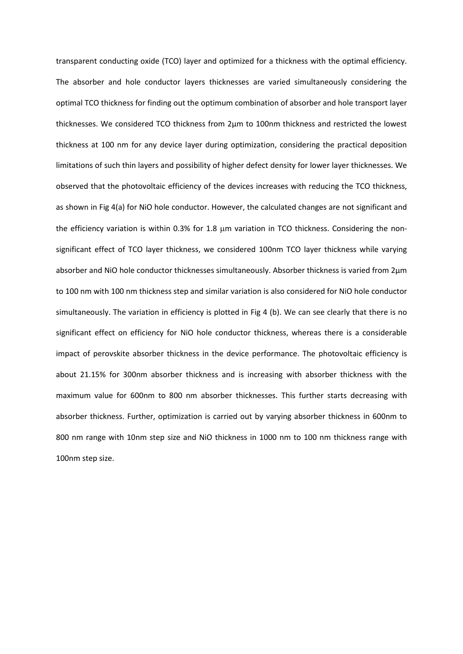transparent conducting oxide (TCO) layer and optimized for a thickness with the optimal efficiency. The absorber and hole conductor layers thicknesses are varied simultaneously considering the optimal TCO thickness for finding out the optimum combination of absorber and hole transport layer thicknesses. We considered TCO thickness from 2μm to 100nm thickness and restricted the lowest thickness at 100 nm for any device layer during optimization, considering the practical deposition limitations of such thin layers and possibility of higher defect density for lower layer thicknesses. We observed that the photovoltaic efficiency of the devices increases with reducing the TCO thickness, as shown in Fig 4(a) for NiO hole conductor. However, the calculated changes are not significant and the efficiency variation is within 0.3% for 1.8 um variation in TCO thickness. Considering the nonsignificant effect of TCO layer thickness, we considered 100nm TCO layer thickness while varying absorber and NiO hole conductor thicknesses simultaneously. Absorber thickness is varied from 2μm to 100 nm with 100 nm thickness step and similar variation is also considered for NiO hole conductor simultaneously. The variation in efficiency is plotted in Fig 4 (b). We can see clearly that there is no significant effect on efficiency for NiO hole conductor thickness, whereas there is a considerable impact of perovskite absorber thickness in the device performance. The photovoltaic efficiency is about 21.15% for 300nm absorber thickness and is increasing with absorber thickness with the maximum value for 600nm to 800 nm absorber thicknesses. This further starts decreasing with absorber thickness. Further, optimization is carried out by varying absorber thickness in 600nm to 800 nm range with 10nm step size and NiO thickness in 1000 nm to 100 nm thickness range with 100nm step size.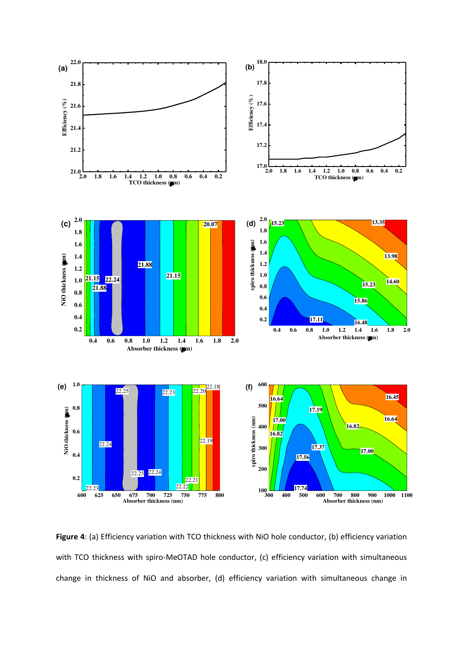

Figure 4: (a) Efficiency variation with TCO thickness with NiO hole conductor, (b) efficiency variation with TCO thickness with spiro-MeOTAD hole conductor, (c) efficiency variation with simultaneous change in thickness of NiO and absorber, (d) efficiency variation with simultaneous change in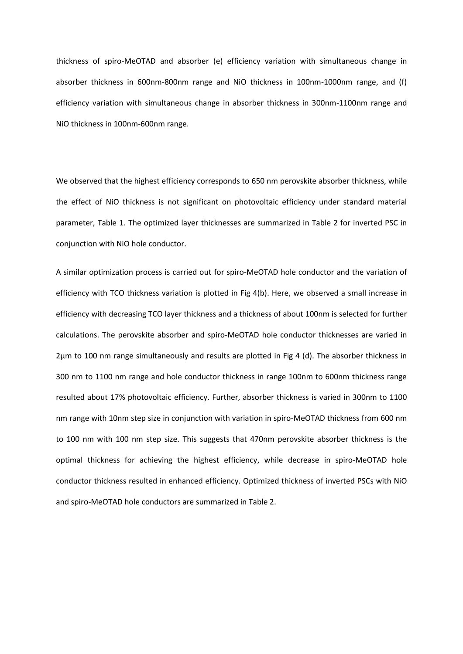thickness of spiro-MeOTAD and absorber (e) efficiency variation with simultaneous change in absorber thickness in 600nm-800nm range and NiO thickness in 100nm-1000nm range, and (f) efficiency variation with simultaneous change in absorber thickness in 300nm-1100nm range and NiO thickness in 100nm-600nm range.

We observed that the highest efficiency corresponds to 650 nm perovskite absorber thickness, while the effect of NiO thickness is not significant on photovoltaic efficiency under standard material parameter, Table 1. The optimized layer thicknesses are summarized in Table 2 for inverted PSC in conjunction with NiO hole conductor.

A similar optimization process is carried out for spiro-MeOTAD hole conductor and the variation of efficiency with TCO thickness variation is plotted in Fig 4(b). Here, we observed a small increase in efficiency with decreasing TCO layer thickness and a thickness of about 100nm is selected for further calculations. The perovskite absorber and spiro-MeOTAD hole conductor thicknesses are varied in 2μm to 100 nm range simultaneously and results are plotted in Fig 4 (d). The absorber thickness in 300 nm to 1100 nm range and hole conductor thickness in range 100nm to 600nm thickness range resulted about 17% photovoltaic efficiency. Further, absorber thickness is varied in 300nm to 1100 nm range with 10nm step size in conjunction with variation in spiro-MeOTAD thickness from 600 nm to 100 nm with 100 nm step size. This suggests that 470nm perovskite absorber thickness is the optimal thickness for achieving the highest efficiency, while decrease in spiro-MeOTAD hole conductor thickness resulted in enhanced efficiency. Optimized thickness of inverted PSCs with NiO and spiro-MeOTAD hole conductors are summarized in Table 2.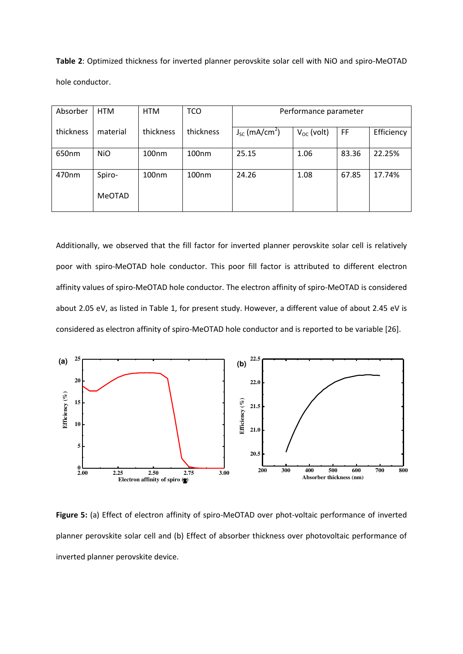**Table 2**: Optimized thickness for inverted planner perovskite solar cell with NiO and spiro-MeOTAD hole conductor.

| Absorber  | <b>HTM</b>    | <b>HTM</b>        | TCO               | Performance parameter          |                 |       |            |  |
|-----------|---------------|-------------------|-------------------|--------------------------------|-----------------|-------|------------|--|
| thickness | material      | thickness         | thickness         | $J_{SC}$ (mA/cm <sup>2</sup> ) | $V_{OC}$ (volt) | FF    | Efficiency |  |
| 650nm     | <b>NiO</b>    | 100 <sub>nm</sub> | 100nm             | 25.15                          | 1.06            | 83.36 | 22.25%     |  |
| 470nm     | Spiro-        | 100 <sub>nm</sub> | 100 <sub>nm</sub> | 24.26                          | 1.08            | 67.85 | 17.74%     |  |
|           | <b>MeOTAD</b> |                   |                   |                                |                 |       |            |  |

Additionally, we observed that the fill factor for inverted planner perovskite solar cell is relatively poor with spiro-MeOTAD hole conductor. This poor fill factor is attributed to different electron affinity values of spiro-MeOTAD hole conductor. The electron affinity of spiro-MeOTAD is considered about 2.05 eV, as listed in Table 1, for present study. However, a different value of about 2.45 eV is considered as electron affinity of spiro-MeOTAD hole conductor and is reported to be variable [26].



**Figure 5:** (a) Effect of electron affinity of spiro-MeOTAD over phot-voltaic performance of inverted planner perovskite solar cell and (b) Effect of absorber thickness over photovoltaic performance of inverted planner perovskite device.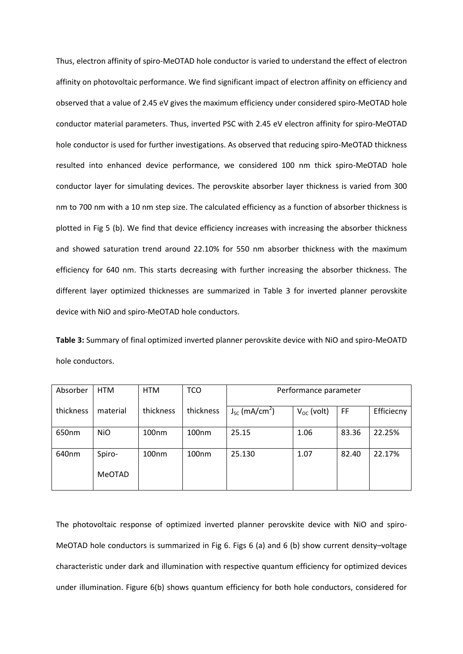Thus, electron affinity of spiro-MeOTAD hole conductor is varied to understand the effect of electron affinity on photovoltaic performance. We find significant impact of electron affinity on efficiency and observed that a value of 2.45 eV gives the maximum efficiency under considered spiro-MeOTAD hole conductor material parameters. Thus, inverted PSC with 2.45 eV electron affinity for spiro-MeOTAD hole conductor is used for further investigations. As observed that reducing spiro-MeOTAD thickness resulted into enhanced device performance, we considered 100 nm thick spiro-MeOTAD hole conductor layer for simulating devices. The perovskite absorber layer thickness is varied from 300 nm to 700 nm with a 10 nm step size. The calculated efficiency as a function of absorber thickness is plotted in Fig 5 (b). We find that device efficiency increases with increasing the absorber thickness and showed saturation trend around 22.10% for 550 nm absorber thickness with the maximum efficiency for 640 nm. This starts decreasing with further increasing the absorber thickness. The different layer optimized thicknesses are summarized in Table 3 for inverted planner perovskite device with NiO and spiro-MeOTAD hole conductors.

**Table 3:** Summary of final optimized inverted planner perovskite device with NiO and spiro-MeOATD hole conductors.

| Absorber  | <b>HTM</b>    | <b>HTM</b>        | <b>TCO</b>        | Performance parameter          |                 |       |            |  |
|-----------|---------------|-------------------|-------------------|--------------------------------|-----------------|-------|------------|--|
| thickness | material      | thickness         | thickness         | $J_{SC}$ (mA/cm <sup>2</sup> ) | $V_{OC}$ (volt) | FF    | Efficiecny |  |
| 650nm     | <b>NiO</b>    | 100nm             | 100 <sub>nm</sub> | 25.15                          | 1.06            | 83.36 | 22.25%     |  |
| 640nm     | Spiro-        | 100 <sub>nm</sub> | 100 <sub>nm</sub> | 25.130                         | 1.07            | 82.40 | 22.17%     |  |
|           | <b>MeOTAD</b> |                   |                   |                                |                 |       |            |  |

The photovoltaic response of optimized inverted planner perovskite device with NiO and spiro-MeOTAD hole conductors is summarized in Fig 6. Figs 6 (a) and 6 (b) show current density–voltage characteristic under dark and illumination with respective quantum efficiency for optimized devices under illumination. Figure 6(b) shows quantum efficiency for both hole conductors, considered for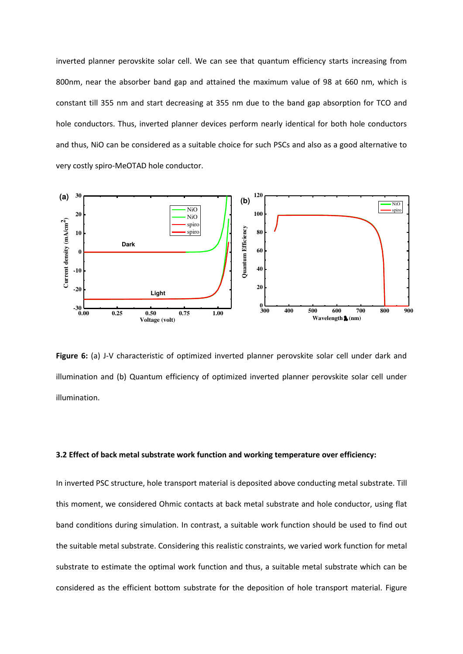inverted planner perovskite solar cell. We can see that quantum efficiency starts increasing from 800nm, near the absorber band gap and attained the maximum value of 98 at 660 nm, which is constant till 355 nm and start decreasing at 355 nm due to the band gap absorption for TCO and hole conductors. Thus, inverted planner devices perform nearly identical for both hole conductors and thus, NiO can be considered as a suitable choice for such PSCs and also as a good alternative to very costly spiro-MeOTAD hole conductor.



**Figure 6:** (a) J-V characteristic of optimized inverted planner perovskite solar cell under dark and illumination and (b) Quantum efficiency of optimized inverted planner perovskite solar cell under illumination.

### **3.2 Effect of back metal substrate work function and working temperature over efficiency:**

In inverted PSC structure, hole transport material is deposited above conducting metal substrate. Till this moment, we considered Ohmic contacts at back metal substrate and hole conductor, using flat band conditions during simulation. In contrast, a suitable work function should be used to find out the suitable metal substrate. Considering this realistic constraints, we varied work function for metal substrate to estimate the optimal work function and thus, a suitable metal substrate which can be considered as the efficient bottom substrate for the deposition of hole transport material. Figure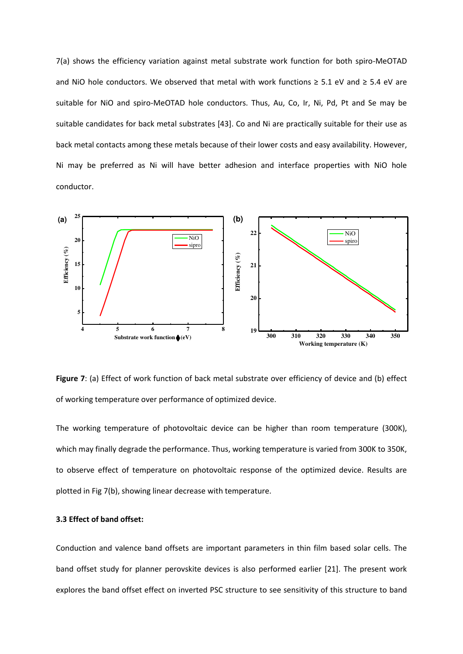7(a) shows the efficiency variation against metal substrate work function for both spiro-MeOTAD and NiO hole conductors. We observed that metal with work functions  $\geq 5.1$  eV and  $\geq 5.4$  eV are suitable for NiO and spiro-MeOTAD hole conductors. Thus, Au, Co, Ir, Ni, Pd, Pt and Se may be suitable candidates for back metal substrates [43]. Co and Ni are practically suitable for their use as back metal contacts among these metals because of their lower costs and easy availability. However, Ni may be preferred as Ni will have better adhesion and interface properties with NiO hole conductor.



**Figure 7**: (a) Effect of work function of back metal substrate over efficiency of device and (b) effect of working temperature over performance of optimized device.

The working temperature of photovoltaic device can be higher than room temperature (300K), which may finally degrade the performance. Thus, working temperature is varied from 300K to 350K, to observe effect of temperature on photovoltaic response of the optimized device. Results are plotted in Fig 7(b), showing linear decrease with temperature.

## **3.3 Effect of band offset:**

Conduction and valence band offsets are important parameters in thin film based solar cells. The band offset study for planner perovskite devices is also performed earlier [21]. The present work explores the band offset effect on inverted PSC structure to see sensitivity of this structure to band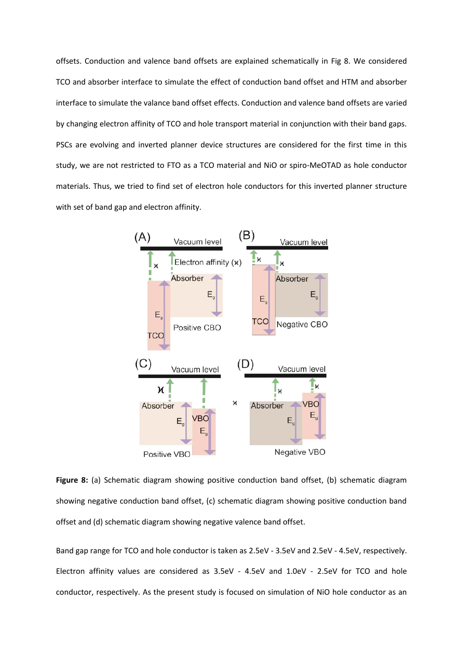offsets. Conduction and valence band offsets are explained schematically in Fig 8. We considered TCO and absorber interface to simulate the effect of conduction band offset and HTM and absorber interface to simulate the valance band offset effects. Conduction and valence band offsets are varied by changing electron affinity of TCO and hole transport material in conjunction with their band gaps. PSCs are evolving and inverted planner device structures are considered for the first time in this study, we are not restricted to FTO as a TCO material and NiO or spiro-MeOTAD as hole conductor materials. Thus, we tried to find set of electron hole conductors for this inverted planner structure with set of band gap and electron affinity.



**Figure 8:** (a) Schematic diagram showing positive conduction band offset, (b) schematic diagram showing negative conduction band offset, (c) schematic diagram showing positive conduction band offset and (d) schematic diagram showing negative valence band offset.

Band gap range for TCO and hole conductor is taken as 2.5eV - 3.5eV and 2.5eV - 4.5eV, respectively. Electron affinity values are considered as 3.5eV - 4.5eV and 1.0eV - 2.5eV for TCO and hole conductor, respectively. As the present study is focused on simulation of NiO hole conductor as an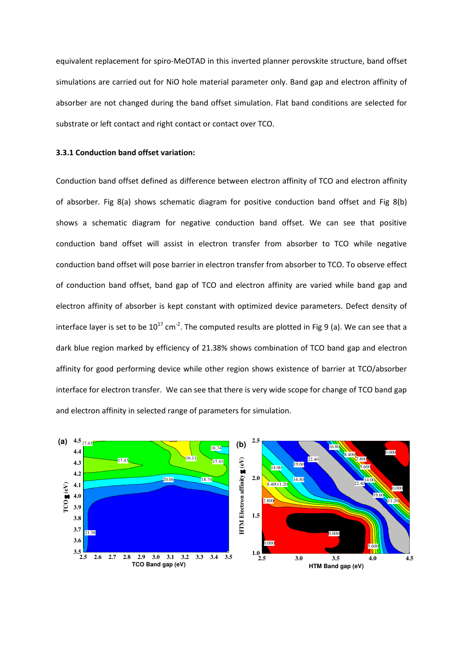equivalent replacement for spiro-MeOTAD in this inverted planner perovskite structure, band offset simulations are carried out for NiO hole material parameter only. Band gap and electron affinity of absorber are not changed during the band offset simulation. Flat band conditions are selected for substrate or left contact and right contact or contact over TCO.

### **3.3.1 Conduction band offset variation:**

Conduction band offset defined as difference between electron affinity of TCO and electron affinity of absorber. Fig 8(a) shows schematic diagram for positive conduction band offset and Fig 8(b) shows a schematic diagram for negative conduction band offset. We can see that positive conduction band offset will assist in electron transfer from absorber to TCO while negative conduction band offset will pose barrier in electron transfer from absorber to TCO. To observe effect of conduction band offset, band gap of TCO and electron affinity are varied while band gap and electron affinity of absorber is kept constant with optimized device parameters. Defect density of interface layer is set to be  $10^{17}$  cm<sup>-2</sup>. The computed results are plotted in Fig 9 (a). We can see that a dark blue region marked by efficiency of 21.38% shows combination of TCO band gap and electron affinity for good performing device while other region shows existence of barrier at TCO/absorber interface for electron transfer. We can see that there is very wide scope for change of TCO band gap and electron affinity in selected range of parameters for simulation.

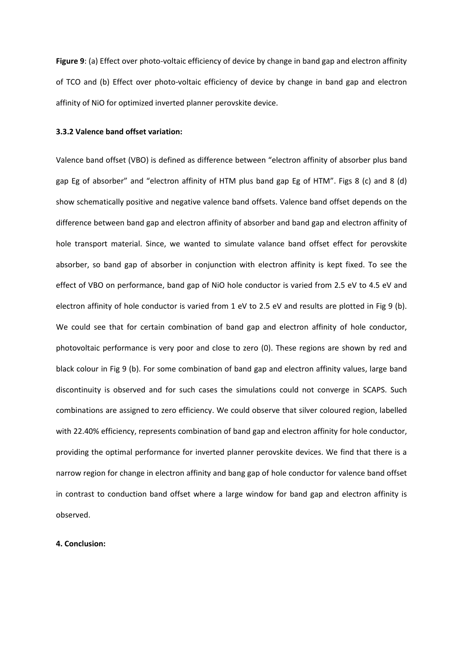**Figure 9**: (a) Effect over photo-voltaic efficiency of device by change in band gap and electron affinity of TCO and (b) Effect over photo-voltaic efficiency of device by change in band gap and electron affinity of NiO for optimized inverted planner perovskite device.

## **3.3.2 Valence band offset variation:**

Valence band offset (VBO) is defined as difference between "electron affinity of absorber plus band gap Eg of absorber" and "electron affinity of HTM plus band gap Eg of HTM". Figs 8 (c) and 8 (d) show schematically positive and negative valence band offsets. Valence band offset depends on the difference between band gap and electron affinity of absorber and band gap and electron affinity of hole transport material. Since, we wanted to simulate valance band offset effect for perovskite absorber, so band gap of absorber in conjunction with electron affinity is kept fixed. To see the effect of VBO on performance, band gap of NiO hole conductor is varied from 2.5 eV to 4.5 eV and electron affinity of hole conductor is varied from 1 eV to 2.5 eV and results are plotted in Fig 9 (b). We could see that for certain combination of band gap and electron affinity of hole conductor, photovoltaic performance is very poor and close to zero (0). These regions are shown by red and black colour in Fig 9 (b). For some combination of band gap and electron affinity values, large band discontinuity is observed and for such cases the simulations could not converge in SCAPS. Such combinations are assigned to zero efficiency. We could observe that silver coloured region, labelled with 22.40% efficiency, represents combination of band gap and electron affinity for hole conductor, providing the optimal performance for inverted planner perovskite devices. We find that there is a narrow region for change in electron affinity and bang gap of hole conductor for valence band offset in contrast to conduction band offset where a large window for band gap and electron affinity is observed.

### **4. Conclusion:**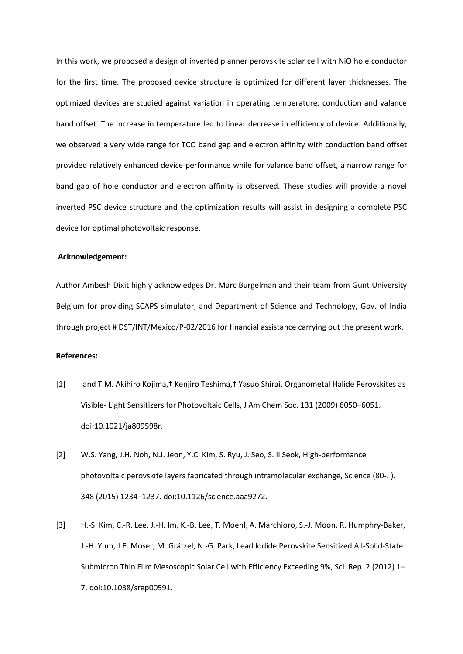In this work, we proposed a design of inverted planner perovskite solar cell with NiO hole conductor for the first time. The proposed device structure is optimized for different layer thicknesses. The optimized devices are studied against variation in operating temperature, conduction and valance band offset. The increase in temperature led to linear decrease in efficiency of device. Additionally, we observed a very wide range for TCO band gap and electron affinity with conduction band offset provided relatively enhanced device performance while for valance band offset, a narrow range for band gap of hole conductor and electron affinity is observed. These studies will provide a novel inverted PSC device structure and the optimization results will assist in designing a complete PSC device for optimal photovoltaic response.

#### **Acknowledgement:**

Author Ambesh Dixit highly acknowledges Dr. Marc Burgelman and their team from Gunt University Belgium for providing SCAPS simulator, and Department of Science and Technology, Gov. of India through project # DST/INT/Mexico/P-02/2016 for financial assistance carrying out the present work.

## **References:**

- [1] and T.M. Akihiro Kojima,† Kenjiro Teshima,‡ Yasuo Shirai, Organometal Halide Perovskites as Visible- Light Sensitizers for Photovoltaic Cells, J Am Chem Soc. 131 (2009) 6050–6051. doi:10.1021/ja809598r.
- [2] W.S. Yang, J.H. Noh, N.J. Jeon, Y.C. Kim, S. Ryu, J. Seo, S. Il Seok, High-performance photovoltaic perovskite layers fabricated through intramolecular exchange, Science (80-. ). 348 (2015) 1234–1237. doi:10.1126/science.aaa9272.
- [3] H.-S. Kim, C.-R. Lee, J.-H. Im, K.-B. Lee, T. Moehl, A. Marchioro, S.-J. Moon, R. Humphry-Baker, J.-H. Yum, J.E. Moser, M. Grätzel, N.-G. Park, Lead Iodide Perovskite Sensitized All-Solid-State Submicron Thin Film Mesoscopic Solar Cell with Efficiency Exceeding 9%, Sci. Rep. 2 (2012) 1– 7. doi:10.1038/srep00591.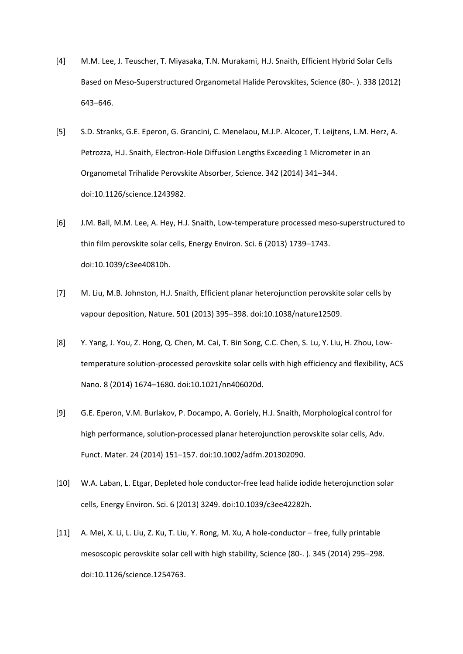- [4] M.M. Lee, J. Teuscher, T. Miyasaka, T.N. Murakami, H.J. Snaith, Efficient Hybrid Solar Cells Based on Meso-Superstructured Organometal Halide Perovskites, Science (80-. ). 338 (2012) 643–646.
- [5] S.D. Stranks, G.E. Eperon, G. Grancini, C. Menelaou, M.J.P. Alcocer, T. Leijtens, L.M. Herz, A. Petrozza, H.J. Snaith, Electron-Hole Diffusion Lengths Exceeding 1 Micrometer in an Organometal Trihalide Perovskite Absorber, Science. 342 (2014) 341–344. doi:10.1126/science.1243982.
- [6] J.M. Ball, M.M. Lee, A. Hey, H.J. Snaith, Low-temperature processed meso-superstructured to thin film perovskite solar cells, Energy Environ. Sci. 6 (2013) 1739–1743. doi:10.1039/c3ee40810h.
- [7] M. Liu, M.B. Johnston, H.J. Snaith, Efficient planar heterojunction perovskite solar cells by vapour deposition, Nature. 501 (2013) 395–398. doi:10.1038/nature12509.
- [8] Y. Yang, J. You, Z. Hong, Q. Chen, M. Cai, T. Bin Song, C.C. Chen, S. Lu, Y. Liu, H. Zhou, Lowtemperature solution-processed perovskite solar cells with high efficiency and flexibility, ACS Nano. 8 (2014) 1674–1680. doi:10.1021/nn406020d.
- [9] G.E. Eperon, V.M. Burlakov, P. Docampo, A. Goriely, H.J. Snaith, Morphological control for high performance, solution-processed planar heterojunction perovskite solar cells, Adv. Funct. Mater. 24 (2014) 151–157. doi:10.1002/adfm.201302090.
- [10] W.A. Laban, L. Etgar, Depleted hole conductor-free lead halide iodide heterojunction solar cells, Energy Environ. Sci. 6 (2013) 3249. doi:10.1039/c3ee42282h.
- [11] A. Mei, X. Li, L. Liu, Z. Ku, T. Liu, Y. Rong, M. Xu, A hole-conductor free, fully printable mesoscopic perovskite solar cell with high stability, Science (80-. ). 345 (2014) 295–298. doi:10.1126/science.1254763.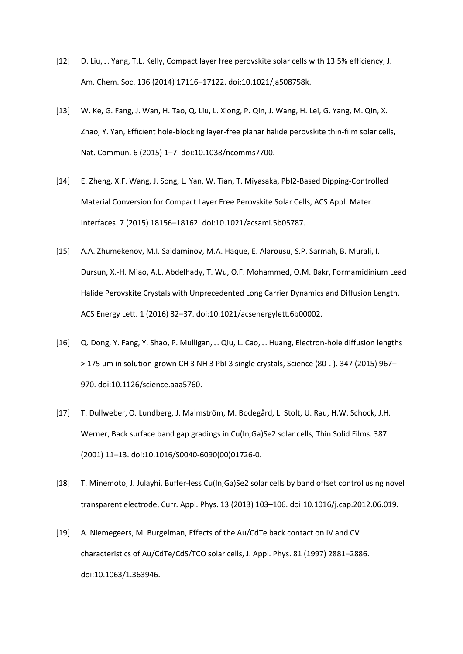- [12] D. Liu, J. Yang, T.L. Kelly, Compact layer free perovskite solar cells with 13.5% efficiency, J. Am. Chem. Soc. 136 (2014) 17116–17122. doi:10.1021/ja508758k.
- [13] W. Ke, G. Fang, J. Wan, H. Tao, Q. Liu, L. Xiong, P. Qin, J. Wang, H. Lei, G. Yang, M. Qin, X. Zhao, Y. Yan, Efficient hole-blocking layer-free planar halide perovskite thin-film solar cells, Nat. Commun. 6 (2015) 1–7. doi:10.1038/ncomms7700.
- [14] E. Zheng, X.F. Wang, J. Song, L. Yan, W. Tian, T. Miyasaka, PbI2-Based Dipping-Controlled Material Conversion for Compact Layer Free Perovskite Solar Cells, ACS Appl. Mater. Interfaces. 7 (2015) 18156–18162. doi:10.1021/acsami.5b05787.
- [15] A.A. Zhumekenov, M.I. Saidaminov, M.A. Haque, E. Alarousu, S.P. Sarmah, B. Murali, I. Dursun, X.-H. Miao, A.L. Abdelhady, T. Wu, O.F. Mohammed, O.M. Bakr, Formamidinium Lead Halide Perovskite Crystals with Unprecedented Long Carrier Dynamics and Diffusion Length, ACS Energy Lett. 1 (2016) 32–37. doi:10.1021/acsenergylett.6b00002.
- [16] Q. Dong, Y. Fang, Y. Shao, P. Mulligan, J. Qiu, L. Cao, J. Huang, Electron-hole diffusion lengths > 175 um in solution-grown CH 3 NH 3 PbI 3 single crystals, Science (80-. ). 347 (2015) 967– 970. doi:10.1126/science.aaa5760.
- [17] T. Dullweber, O. Lundberg, J. Malmström, M. Bodegård, L. Stolt, U. Rau, H.W. Schock, J.H. Werner, Back surface band gap gradings in Cu(In,Ga)Se2 solar cells, Thin Solid Films. 387 (2001) 11–13. doi:10.1016/S0040-6090(00)01726-0.
- [18] T. Minemoto, J. Julayhi, Buffer-less Cu(In,Ga)Se2 solar cells by band offset control using novel transparent electrode, Curr. Appl. Phys. 13 (2013) 103–106. doi:10.1016/j.cap.2012.06.019.
- [19] A. Niemegeers, M. Burgelman, Effects of the Au/CdTe back contact on IV and CV characteristics of Au/CdTe/CdS/TCO solar cells, J. Appl. Phys. 81 (1997) 2881–2886. doi:10.1063/1.363946.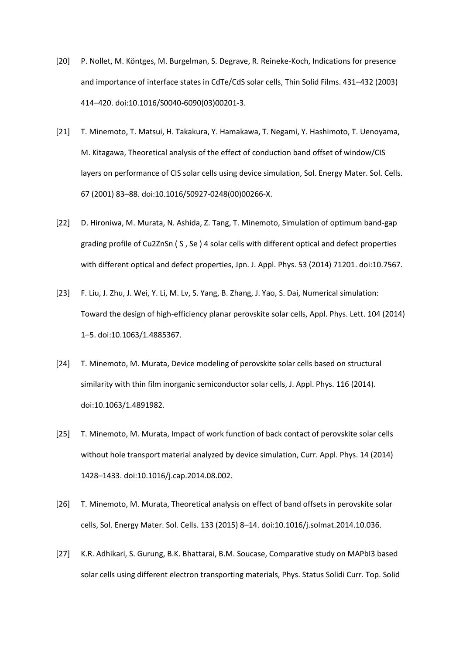- [20] P. Nollet, M. Köntges, M. Burgelman, S. Degrave, R. Reineke-Koch, Indications for presence and importance of interface states in CdTe/CdS solar cells, Thin Solid Films. 431–432 (2003) 414–420. doi:10.1016/S0040-6090(03)00201-3.
- [21] T. Minemoto, T. Matsui, H. Takakura, Y. Hamakawa, T. Negami, Y. Hashimoto, T. Uenoyama, M. Kitagawa, Theoretical analysis of the effect of conduction band offset of window/CIS layers on performance of CIS solar cells using device simulation, Sol. Energy Mater. Sol. Cells. 67 (2001) 83–88. doi:10.1016/S0927-0248(00)00266-X.
- [22] D. Hironiwa, M. Murata, N. Ashida, Z. Tang, T. Minemoto, Simulation of optimum band-gap grading profile of Cu2ZnSn ( S , Se ) 4 solar cells with different optical and defect properties with different optical and defect properties, Jpn. J. Appl. Phys. 53 (2014) 71201. doi:10.7567.
- [23] F. Liu, J. Zhu, J. Wei, Y. Li, M. Lv, S. Yang, B. Zhang, J. Yao, S. Dai, Numerical simulation: Toward the design of high-efficiency planar perovskite solar cells, Appl. Phys. Lett. 104 (2014) 1–5. doi:10.1063/1.4885367.
- [24] T. Minemoto, M. Murata, Device modeling of perovskite solar cells based on structural similarity with thin film inorganic semiconductor solar cells, J. Appl. Phys. 116 (2014). doi:10.1063/1.4891982.
- [25] T. Minemoto, M. Murata, Impact of work function of back contact of perovskite solar cells without hole transport material analyzed by device simulation, Curr. Appl. Phys. 14 (2014) 1428–1433. doi:10.1016/j.cap.2014.08.002.
- [26] T. Minemoto, M. Murata, Theoretical analysis on effect of band offsets in perovskite solar cells, Sol. Energy Mater. Sol. Cells. 133 (2015) 8–14. doi:10.1016/j.solmat.2014.10.036.
- [27] K.R. Adhikari, S. Gurung, B.K. Bhattarai, B.M. Soucase, Comparative study on MAPbI3 based solar cells using different electron transporting materials, Phys. Status Solidi Curr. Top. Solid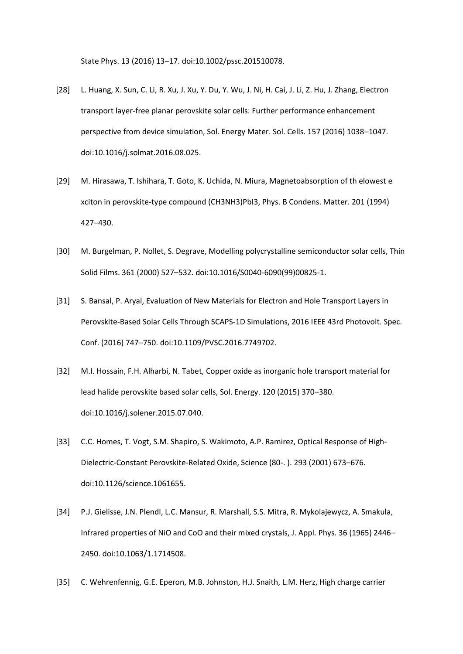State Phys. 13 (2016) 13–17. doi:10.1002/pssc.201510078.

- [28] L. Huang, X. Sun, C. Li, R. Xu, J. Xu, Y. Du, Y. Wu, J. Ni, H. Cai, J. Li, Z. Hu, J. Zhang, Electron transport layer-free planar perovskite solar cells: Further performance enhancement perspective from device simulation, Sol. Energy Mater. Sol. Cells. 157 (2016) 1038–1047. doi:10.1016/j.solmat.2016.08.025.
- [29] M. Hirasawa, T. Ishihara, T. Goto, K. Uchida, N. Miura, Magnetoabsorption of th elowest e xciton in perovskite-type compound (CH3NH3)PbI3, Phys. B Condens. Matter. 201 (1994) 427–430.
- [30] M. Burgelman, P. Nollet, S. Degrave, Modelling polycrystalline semiconductor solar cells, Thin Solid Films. 361 (2000) 527–532. doi:10.1016/S0040-6090(99)00825-1.
- [31] S. Bansal, P. Aryal, Evaluation of New Materials for Electron and Hole Transport Layers in Perovskite-Based Solar Cells Through SCAPS-1D Simulations, 2016 IEEE 43rd Photovolt. Spec. Conf. (2016) 747–750. doi:10.1109/PVSC.2016.7749702.
- [32] M.I. Hossain, F.H. Alharbi, N. Tabet, Copper oxide as inorganic hole transport material for lead halide perovskite based solar cells, Sol. Energy. 120 (2015) 370–380. doi:10.1016/j.solener.2015.07.040.
- [33] C.C. Homes, T. Vogt, S.M. Shapiro, S. Wakimoto, A.P. Ramirez, Optical Response of High-Dielectric-Constant Perovskite-Related Oxide, Science (80-. ). 293 (2001) 673–676. doi:10.1126/science.1061655.
- [34] P.J. Gielisse, J.N. Plendl, L.C. Mansur, R. Marshall, S.S. Mitra, R. Mykolajewycz, A. Smakula, Infrared properties of NiO and CoO and their mixed crystals, J. Appl. Phys. 36 (1965) 2446– 2450. doi:10.1063/1.1714508.
- [35] C. Wehrenfennig, G.E. Eperon, M.B. Johnston, H.J. Snaith, L.M. Herz, High charge carrier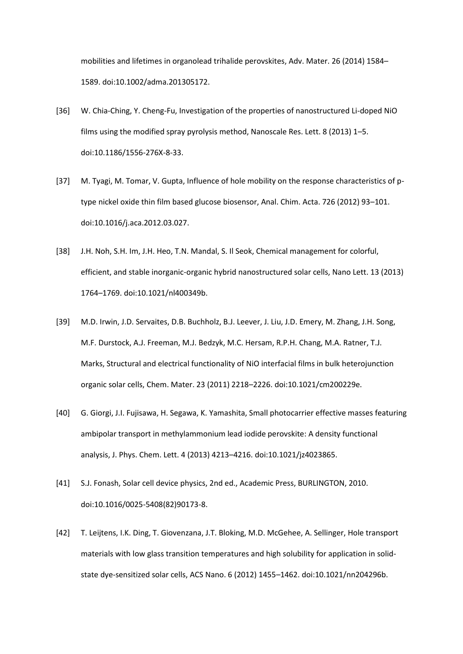mobilities and lifetimes in organolead trihalide perovskites, Adv. Mater. 26 (2014) 1584– 1589. doi:10.1002/adma.201305172.

- [36] W. Chia-Ching, Y. Cheng-Fu, Investigation of the properties of nanostructured Li-doped NiO films using the modified spray pyrolysis method, Nanoscale Res. Lett. 8 (2013) 1–5. doi:10.1186/1556-276X-8-33.
- [37] M. Tyagi, M. Tomar, V. Gupta, Influence of hole mobility on the response characteristics of ptype nickel oxide thin film based glucose biosensor, Anal. Chim. Acta. 726 (2012) 93–101. doi:10.1016/j.aca.2012.03.027.
- [38] J.H. Noh, S.H. Im, J.H. Heo, T.N. Mandal, S. Il Seok, Chemical management for colorful, efficient, and stable inorganic-organic hybrid nanostructured solar cells, Nano Lett. 13 (2013) 1764–1769. doi:10.1021/nl400349b.
- [39] M.D. Irwin, J.D. Servaites, D.B. Buchholz, B.J. Leever, J. Liu, J.D. Emery, M. Zhang, J.H. Song, M.F. Durstock, A.J. Freeman, M.J. Bedzyk, M.C. Hersam, R.P.H. Chang, M.A. Ratner, T.J. Marks, Structural and electrical functionality of NiO interfacial films in bulk heterojunction organic solar cells, Chem. Mater. 23 (2011) 2218–2226. doi:10.1021/cm200229e.
- [40] G. Giorgi, J.I. Fujisawa, H. Segawa, K. Yamashita, Small photocarrier effective masses featuring ambipolar transport in methylammonium lead iodide perovskite: A density functional analysis, J. Phys. Chem. Lett. 4 (2013) 4213–4216. doi:10.1021/jz4023865.
- [41] S.J. Fonash, Solar cell device physics, 2nd ed., Academic Press, BURLINGTON, 2010. doi:10.1016/0025-5408(82)90173-8.
- [42] T. Leijtens, I.K. Ding, T. Giovenzana, J.T. Bloking, M.D. McGehee, A. Sellinger, Hole transport materials with low glass transition temperatures and high solubility for application in solidstate dye-sensitized solar cells, ACS Nano. 6 (2012) 1455–1462. doi:10.1021/nn204296b.